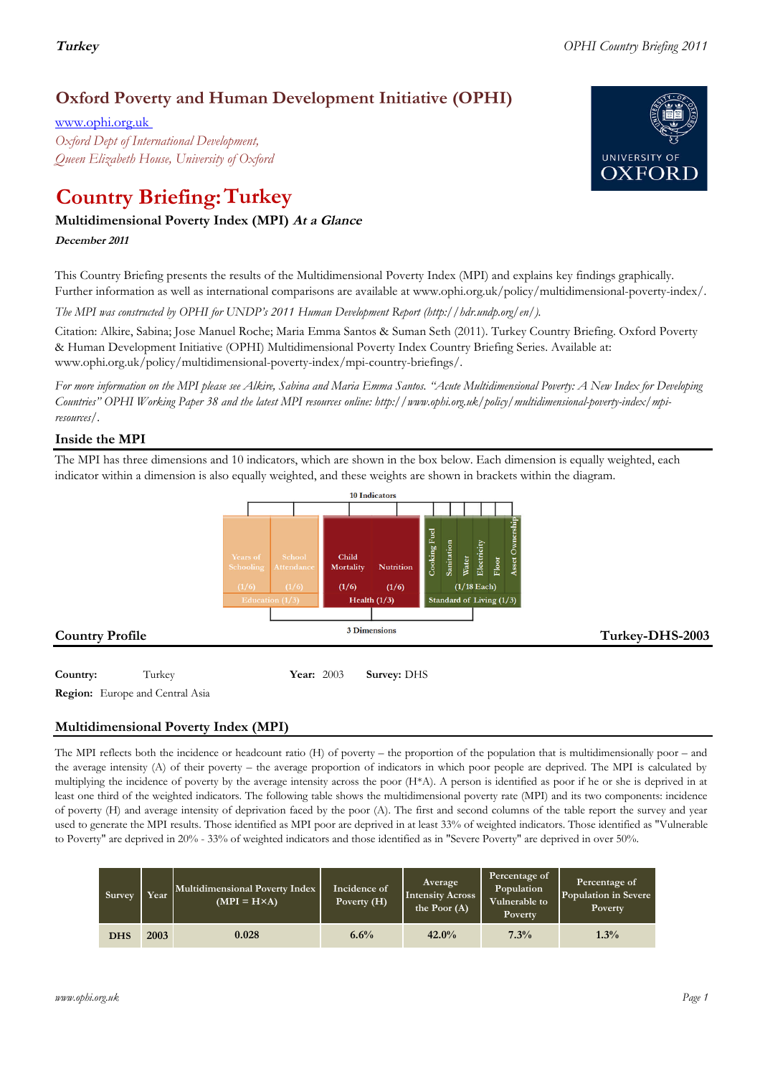## **Oxford Poverty and Human Development Initiative (OPHI)**

www.ophi.org.uk *Oxford Dept of International Development, Queen Elizabeth House, University of Oxford*

# **Country Briefing: Turkey**

### **Multidimensional Poverty Index (MPI) At <sup>a</sup> Glance**

#### **December <sup>2011</sup>**

This Country Briefing presents the results of the Multidimensional Poverty Index (MPI) and explains key findings graphically. Further information as well as international comparisons are available at www.ophi.org.uk/policy/multidimensional-poverty-index/.

*The MPI was constructed by OPHI for UNDP's 2011 Human Development Report (http://hdr.undp.org/en/).*

Citation: Alkire, Sabina; Jose Manuel Roche; Maria Emma Santos & Suman Seth (2011). Turkey Country Briefing. Oxford Poverty & Human Development Initiative (OPHI) Multidimensional Poverty Index Country Briefing Series. Available at: www.ophi.org.uk/policy/multidimensional-poverty-index/mpi-country-briefings/.

*For more information on the MPI please see Alkire, Sabina and Maria Emma Santos. "Acute Multidimensional Poverty: A New Index for Developing Countries" OPHI Working Paper 38 and the latest MPI resources online: http://www.ophi.org.uk/policy/multidimensional-poverty-index/mpiresources/.*

### **Inside the MPI**

The MPI has three dimensions and 10 indicators, which are shown in the box below. Each dimension is equally weighted, each indicator within a dimension is also equally weighted, and these weights are shown in brackets within the diagram.



**Region:** Europe and Central Asia

### **Multidimensional Poverty Index (MPI)**

The MPI reflects both the incidence or headcount ratio (H) of poverty – the proportion of the population that is multidimensionally poor – and the average intensity (A) of their poverty – the average proportion of indicators in which poor people are deprived. The MPI is calculated by multiplying the incidence of poverty by the average intensity across the poor (H\*A). A person is identified as poor if he or she is deprived in at least one third of the weighted indicators. The following table shows the multidimensional poverty rate (MPI) and its two components: incidence of poverty (H) and average intensity of deprivation faced by the poor (A). The first and second columns of the table report the survey and year used to generate the MPI results. Those identified as MPI poor are deprived in at least 33% of weighted indicators. Those identified as "Vulnerable to Poverty" are deprived in 20% - 33% of weighted indicators and those identified as in "Severe Poverty" are deprived in over 50%.

| Survey     | Year | Multidimensional Poverty Index<br>$(MPI = H \times A)$ | Incidence of<br>Poverty $(H)$ | Average<br>Intensity Across<br>the Poor $(A)$ | Percentage of<br>Population<br>Vulnerable to<br><b>Poverty</b> | Percentage of<br>Population in Severe<br><b>Poverty</b> |
|------------|------|--------------------------------------------------------|-------------------------------|-----------------------------------------------|----------------------------------------------------------------|---------------------------------------------------------|
| <b>DHS</b> | 2003 | 0.028                                                  | 6.6%                          | 42.0%                                         | 7.3%                                                           | 1.3%                                                    |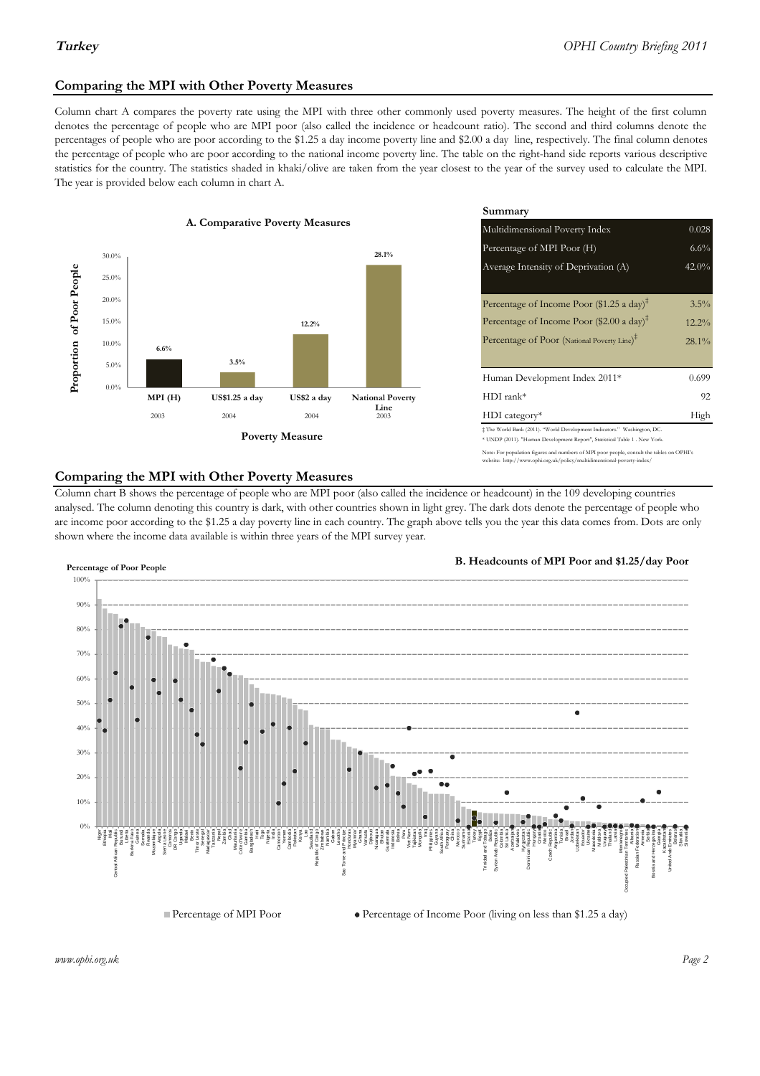### **Comparing the MPI with Other Poverty Measures**

Column chart A compares the poverty rate using the MPI with three other commonly used poverty measures. The height of the first column denotes the percentage of people who are MPI poor (also called the incidence or headcount ratio). The second and third columns denote the percentages of people who are poor according to the \$1.25 a day income poverty line and \$2.00 a day line, respectively. The final column denotes the percentage of people who are poor according to the national income poverty line. The table on the right-hand side reports various descriptive statistics for the country. The statistics shaded in khaki/olive are taken from the year closest to the year of the survey used to calculate the MPI. The year is provided below each column in chart A.



|                 |                         | Summary                                                                                                                                                    |          |  |  |
|-----------------|-------------------------|------------------------------------------------------------------------------------------------------------------------------------------------------------|----------|--|--|
| erty Measures   |                         | Multidimensional Poverty Index<br>0.028                                                                                                                    |          |  |  |
|                 | 28.1%                   | Percentage of MPI Poor (H)                                                                                                                                 | $6.6\%$  |  |  |
|                 |                         | Average Intensity of Deprivation (A)                                                                                                                       | $42.0\%$ |  |  |
|                 |                         | Percentage of Income Poor (\$1.25 a day) <sup><math>\ddagger</math></sup>                                                                                  | $3.5\%$  |  |  |
| 12.2%           |                         | Percentage of Income Poor $(\$2.00 \text{ a day})^{\ddagger}$                                                                                              | $12.2\%$ |  |  |
|                 |                         | Percentage of Poor (National Poverty Line) <sup>#</sup>                                                                                                    | $28.1\%$ |  |  |
|                 |                         | Human Development Index 2011*                                                                                                                              | 0.699    |  |  |
| US\$2 a day     | <b>National Poverty</b> | $HDI$ rank*                                                                                                                                                | 92       |  |  |
| 2004            | Line<br>2003            | $HDI category*$                                                                                                                                            | High     |  |  |
| <b>⁄Ieasure</b> |                         | $\pm$ The World Bank (2011). "World Development Indicators." Washington, DC.<br>* UNDP (2011). "Human Development Report", Statistical Table 1 . New York. |          |  |  |

te: For population figures and numbers of MPI poor people, consult the tables on OPHI's te: http://www.ophi.org.uk/policy/multidimensional-poverty-index/

#### **Comparing the MPI with Other Poverty Measures**

Column chart B shows the percentage of people who are MPI poor (also called the incidence or headcount) in the 109 developing countries analysed. The column denoting this country is dark, with other countries shown in light grey. The dark dots denote the percentage of people who are income poor according to the \$1.25 a day poverty line in each country. The graph above tells you the year this data comes from. Dots are only shown where the income data available is within three years of the MPI survey year.



**B. Headcounts of MPI Poor and \$1.25/day Poor**



*www.ophi.org.uk Page 2*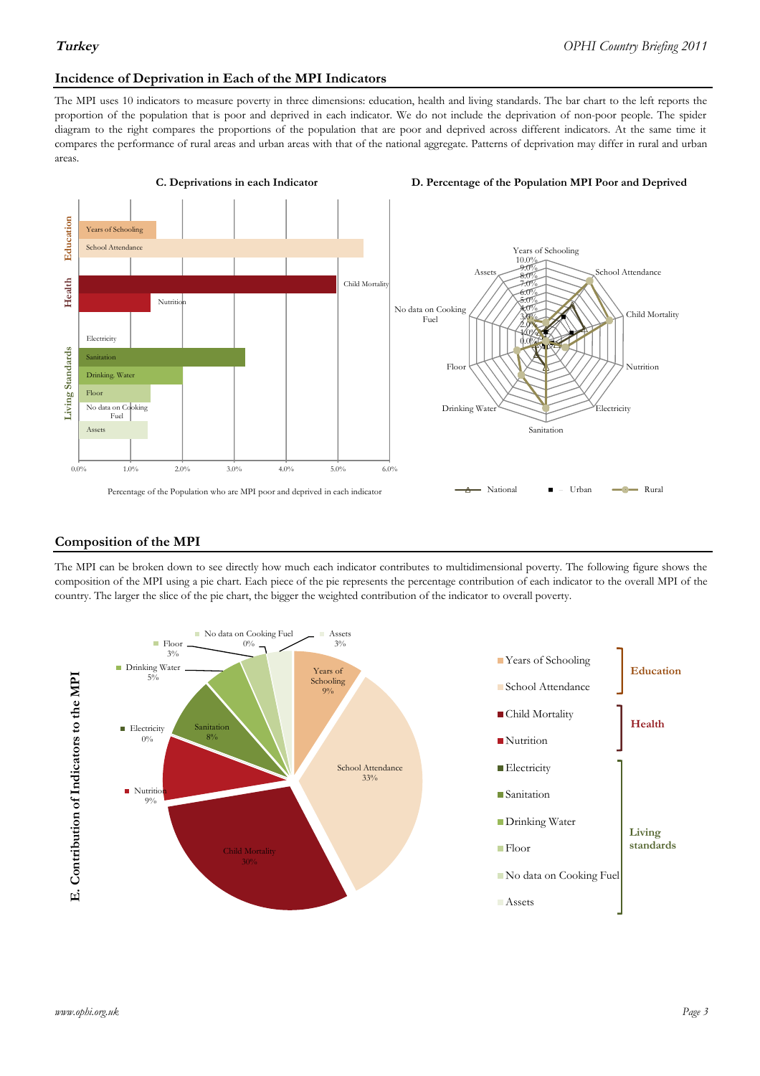#### **Incidence of Deprivation in Each of the MPI Indicators**

The MPI uses 10 indicators to measure poverty in three dimensions: education, health and living standards. The bar chart to the left reports the proportion of the population that is poor and deprived in each indicator. We do not include the deprivation of non-poor people. The spider diagram to the right compares the proportions of the population that are poor and deprived across different indicators. At the same time it compares the performance of rural areas and urban areas with that of the national aggregate. Patterns of deprivation may differ in rural and urban areas.



#### **Composition of the MPI**

The MPI can be broken down to see directly how much each indicator contributes to multidimensional poverty. The following figure shows the composition of the MPI using a pie chart. Each piece of the pie represents the percentage contribution of each indicator to the overall MPI of the country. The larger the slice of the pie chart, the bigger the weighted contribution of the indicator to overall poverty.

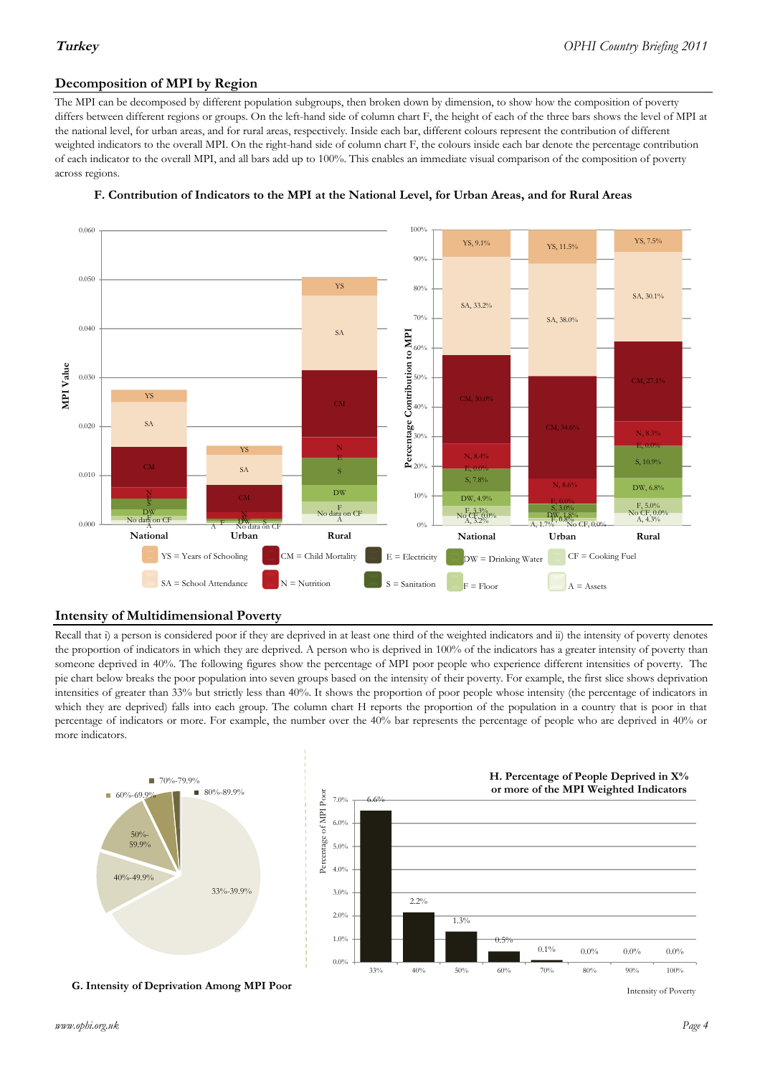#### **Decomposition of MPI by Region**

The MPI can be decomposed by different population subgroups, then broken down by dimension, to show how the composition of poverty differs between different regions or groups. On the left-hand side of column chart F, the height of each of the three bars shows the level of MPI at the national level, for urban areas, and for rural areas, respectively. Inside each bar, different colours represent the contribution of different weighted indicators to the overall MPI. On the right-hand side of column chart F, the colours inside each bar denote the percentage contribution of each indicator to the overall MPI, and all bars add up to 100%. This enables an immediate visual comparison of the composition of poverty across regions.



#### **F. Contribution of Indicators to the MPI at the National Level, for Urban Areas, and for Rural Areas**

#### **Intensity of Multidimensional Poverty**

Recall that i) a person is considered poor if they are deprived in at least one third of the weighted indicators and ii) the intensity of poverty denotes the proportion of indicators in which they are deprived. A person who is deprived in 100% of the indicators has a greater intensity of poverty than someone deprived in 40%. The following figures show the percentage of MPI poor people who experience different intensities of poverty. The pie chart below breaks the poor population into seven groups based on the intensity of their poverty. For example, the first slice shows deprivation intensities of greater than 33% but strictly less than 40%. It shows the proportion of poor people whose intensity (the percentage of indicators in which they are deprived) falls into each group. The column chart H reports the proportion of the population in a country that is poor in that percentage of indicators or more. For example, the number over the 40% bar represents the percentage of people who are deprived in 40% or more indicators.



**G. Intensity of Deprivation Among MPI Poor**

Intensity of Poverty